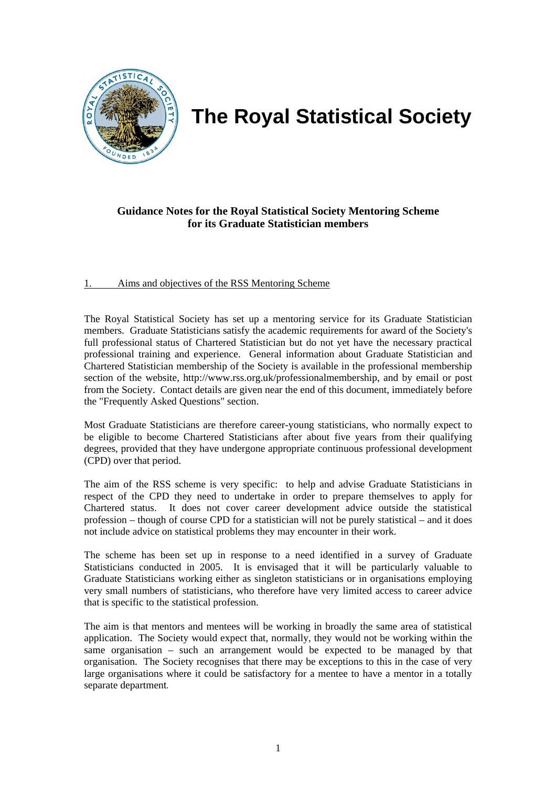

# **The Royal Statistical Society**

# **Guidance Notes for the Royal Statistical Society Mentoring Scheme for its Graduate Statistician members**

## 1. Aims and objectives of the RSS Mentoring Scheme

The Royal Statistical Society has set up a mentoring service for its Graduate Statistician members. Graduate Statisticians satisfy the academic requirements for award of the Society's full professional status of Chartered Statistician but do not yet have the necessary practical professional training and experience. General information about Graduate Statistician and Chartered Statistician membership of the Society is available in the professional membership section of the website, http://www.rss.org.uk/professionalmembership, and by email or post from the Society. Contact details are given near the end of this document, immediately before the "Frequently Asked Questions" section.

Most Graduate Statisticians are therefore career-young statisticians, who normally expect to be eligible to become Chartered Statisticians after about five years from their qualifying degrees, provided that they have undergone appropriate continuous professional development (CPD) over that period.

The aim of the RSS scheme is very specific: to help and advise Graduate Statisticians in respect of the CPD they need to undertake in order to prepare themselves to apply for Chartered status. It does not cover career development advice outside the statistical profession – though of course CPD for a statistician will not be purely statistical – and it does not include advice on statistical problems they may encounter in their work.

The scheme has been set up in response to a need identified in a survey of Graduate Statisticians conducted in 2005. It is envisaged that it will be particularly valuable to Graduate Statisticians working either as singleton statisticians or in organisations employing very small numbers of statisticians, who therefore have very limited access to career advice that is specific to the statistical profession.

The aim is that mentors and mentees will be working in broadly the same area of statistical application. The Society would expect that, normally, they would not be working within the same organisation – such an arrangement would be expected to be managed by that organisation. The Society recognises that there may be exceptions to this in the case of very large organisations where it could be satisfactory for a mentee to have a mentor in a totally separate department.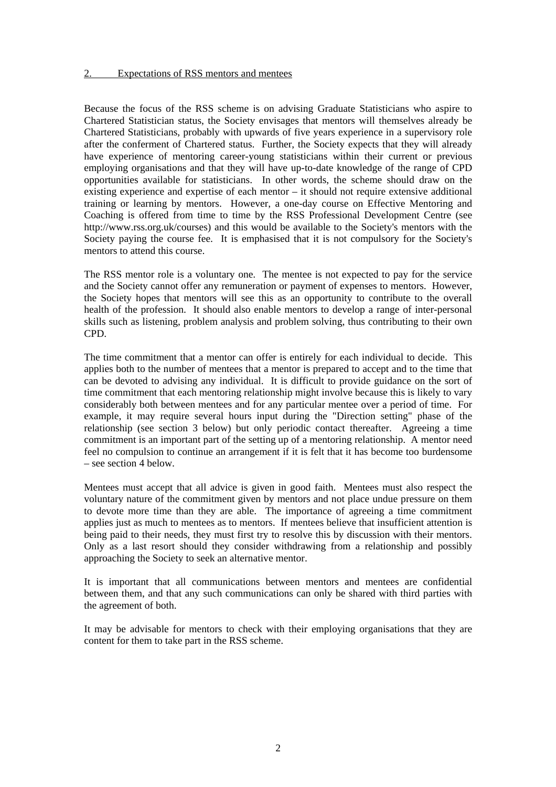Because the focus of the RSS scheme is on advising Graduate Statisticians who aspire to Chartered Statistician status, the Society envisages that mentors will themselves already be Chartered Statisticians, probably with upwards of five years experience in a supervisory role after the conferment of Chartered status. Further, the Society expects that they will already have experience of mentoring career-young statisticians within their current or previous employing organisations and that they will have up-to-date knowledge of the range of CPD opportunities available for statisticians. In other words, the scheme should draw on the existing experience and expertise of each mentor – it should not require extensive additional training or learning by mentors. However, a one-day course on Effective Mentoring and Coaching is offered from time to time by the RSS Professional Development Centre (see http://www.rss.org.uk/courses) and this would be available to the Society's mentors with the Society paying the course fee. It is emphasised that it is not compulsory for the Society's mentors to attend this course.

The RSS mentor role is a voluntary one. The mentee is not expected to pay for the service and the Society cannot offer any remuneration or payment of expenses to mentors. However, the Society hopes that mentors will see this as an opportunity to contribute to the overall health of the profession. It should also enable mentors to develop a range of inter-personal skills such as listening, problem analysis and problem solving, thus contributing to their own CPD.

The time commitment that a mentor can offer is entirely for each individual to decide. This applies both to the number of mentees that a mentor is prepared to accept and to the time that can be devoted to advising any individual. It is difficult to provide guidance on the sort of time commitment that each mentoring relationship might involve because this is likely to vary considerably both between mentees and for any particular mentee over a period of time. For example, it may require several hours input during the "Direction setting" phase of the relationship (see section 3 below) but only periodic contact thereafter. Agreeing a time commitment is an important part of the setting up of a mentoring relationship. A mentor need feel no compulsion to continue an arrangement if it is felt that it has become too burdensome – see section 4 below.

Mentees must accept that all advice is given in good faith. Mentees must also respect the voluntary nature of the commitment given by mentors and not place undue pressure on them to devote more time than they are able. The importance of agreeing a time commitment applies just as much to mentees as to mentors. If mentees believe that insufficient attention is being paid to their needs, they must first try to resolve this by discussion with their mentors. Only as a last resort should they consider withdrawing from a relationship and possibly approaching the Society to seek an alternative mentor.

It is important that all communications between mentors and mentees are confidential between them, and that any such communications can only be shared with third parties with the agreement of both.

It may be advisable for mentors to check with their employing organisations that they are content for them to take part in the RSS scheme.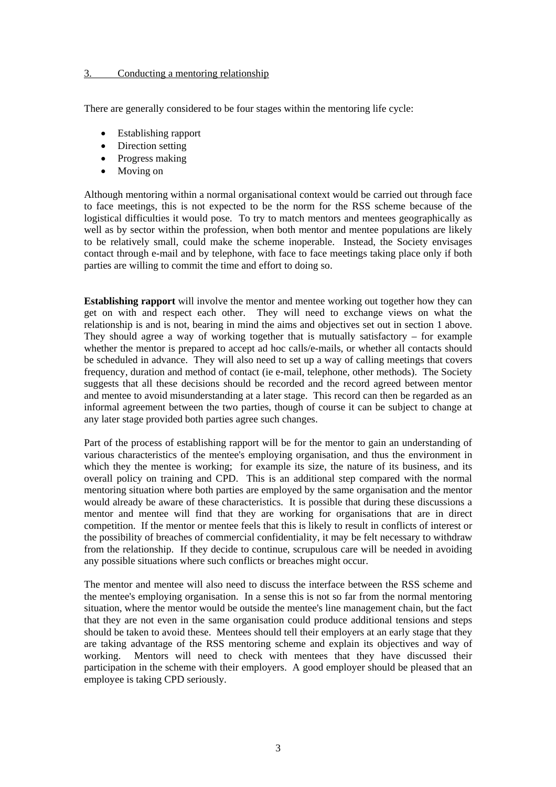#### 3. Conducting a mentoring relationship

There are generally considered to be four stages within the mentoring life cycle:

- Establishing rapport
- Direction setting
- Progress making
- Moving on

Although mentoring within a normal organisational context would be carried out through face to face meetings, this is not expected to be the norm for the RSS scheme because of the logistical difficulties it would pose. To try to match mentors and mentees geographically as well as by sector within the profession, when both mentor and mentee populations are likely to be relatively small, could make the scheme inoperable. Instead, the Society envisages contact through e-mail and by telephone, with face to face meetings taking place only if both parties are willing to commit the time and effort to doing so.

**Establishing rapport** will involve the mentor and mentee working out together how they can get on with and respect each other. They will need to exchange views on what the relationship is and is not, bearing in mind the aims and objectives set out in section 1 above. They should agree a way of working together that is mutually satisfactory – for example whether the mentor is prepared to accept ad hoc calls/e-mails, or whether all contacts should be scheduled in advance. They will also need to set up a way of calling meetings that covers frequency, duration and method of contact (ie e-mail, telephone, other methods). The Society suggests that all these decisions should be recorded and the record agreed between mentor and mentee to avoid misunderstanding at a later stage. This record can then be regarded as an informal agreement between the two parties, though of course it can be subject to change at any later stage provided both parties agree such changes.

Part of the process of establishing rapport will be for the mentor to gain an understanding of various characteristics of the mentee's employing organisation, and thus the environment in which they the mentee is working; for example its size, the nature of its business, and its overall policy on training and CPD. This is an additional step compared with the normal mentoring situation where both parties are employed by the same organisation and the mentor would already be aware of these characteristics. It is possible that during these discussions a mentor and mentee will find that they are working for organisations that are in direct competition. If the mentor or mentee feels that this is likely to result in conflicts of interest or the possibility of breaches of commercial confidentiality, it may be felt necessary to withdraw from the relationship. If they decide to continue, scrupulous care will be needed in avoiding any possible situations where such conflicts or breaches might occur.

The mentor and mentee will also need to discuss the interface between the RSS scheme and the mentee's employing organisation. In a sense this is not so far from the normal mentoring situation, where the mentor would be outside the mentee's line management chain, but the fact that they are not even in the same organisation could produce additional tensions and steps should be taken to avoid these. Mentees should tell their employers at an early stage that they are taking advantage of the RSS mentoring scheme and explain its objectives and way of working. Mentors will need to check with mentees that they have discussed their participation in the scheme with their employers. A good employer should be pleased that an employee is taking CPD seriously.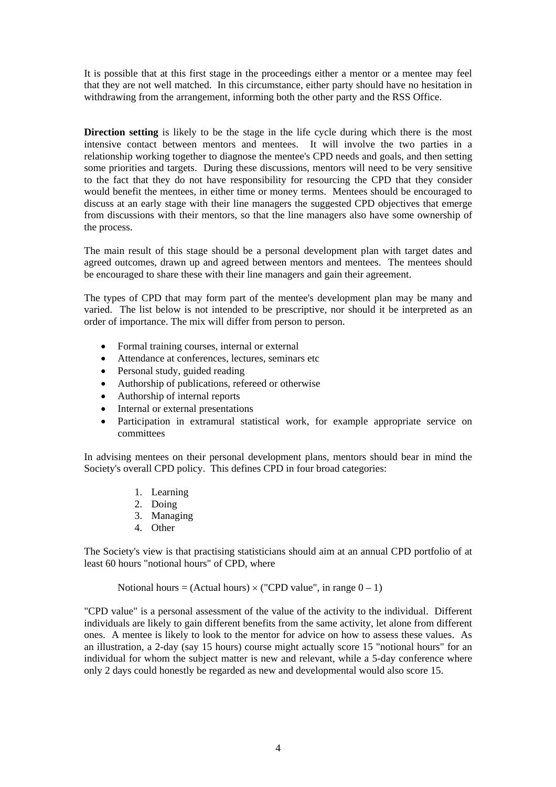It is possible that at this first stage in the proceedings either a mentor or a mentee may feel that they are not well matched. In this circumstance, either party should have no hesitation in withdrawing from the arrangement, informing both the other party and the RSS Office.

**Direction setting** is likely to be the stage in the life cycle during which there is the most intensive contact between mentors and mentees. It will involve the two parties in a relationship working together to diagnose the mentee's CPD needs and goals, and then setting some priorities and targets. During these discussions, mentors will need to be very sensitive to the fact that they do not have responsibility for resourcing the CPD that they consider would benefit the mentees, in either time or money terms. Mentees should be encouraged to discuss at an early stage with their line managers the suggested CPD objectives that emerge from discussions with their mentors, so that the line managers also have some ownership of the process.

The main result of this stage should be a personal development plan with target dates and agreed outcomes, drawn up and agreed between mentors and mentees. The mentees should be encouraged to share these with their line managers and gain their agreement.

The types of CPD that may form part of the mentee's development plan may be many and varied. The list below is not intended to be prescriptive, nor should it be interpreted as an order of importance. The mix will differ from person to person.

- Formal training courses, internal or external
- Attendance at conferences, lectures, seminars etc
- Personal study, guided reading
- Authorship of publications, refereed or otherwise
- Authorship of internal reports
- Internal or external presentations
- Participation in extramural statistical work, for example appropriate service on committees

In advising mentees on their personal development plans, mentors should bear in mind the Society's overall CPD policy. This defines CPD in four broad categories:

- 1. Learning
- 2. Doing
- 3. Managing
- 4. Other

The Society's view is that practising statisticians should aim at an annual CPD portfolio of at least 60 hours "notional hours" of CPD, where

Notional hours = (Actual hours)  $\times$  ("CPD value", in range  $0 - 1$ )

"CPD value" is a personal assessment of the value of the activity to the individual. Different individuals are likely to gain different benefits from the same activity, let alone from different ones. A mentee is likely to look to the mentor for advice on how to assess these values. As an illustration, a 2-day (say 15 hours) course might actually score 15 "notional hours" for an individual for whom the subject matter is new and relevant, while a 5-day conference where only 2 days could honestly be regarded as new and developmental would also score 15.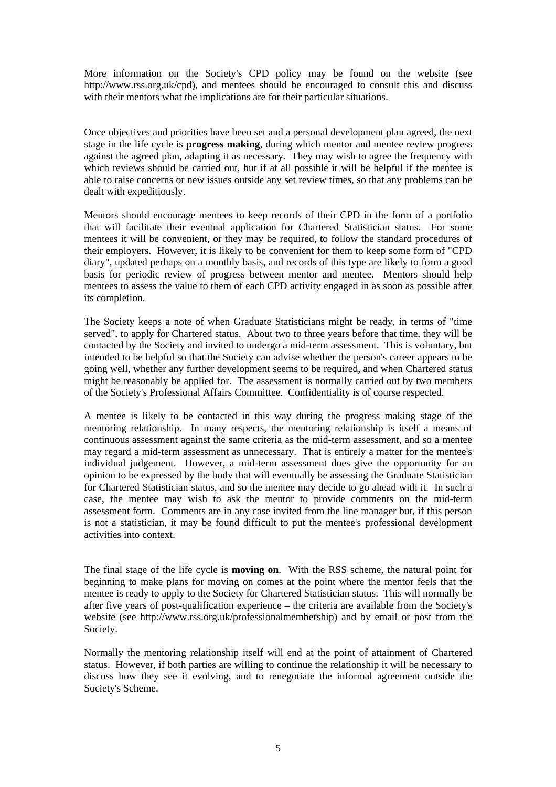More information on the Society's CPD policy may be found on the website (see http://www.rss.org.uk/cpd), and mentees should be encouraged to consult this and discuss with their mentors what the implications are for their particular situations.

Once objectives and priorities have been set and a personal development plan agreed, the next stage in the life cycle is **progress making**, during which mentor and mentee review progress against the agreed plan, adapting it as necessary. They may wish to agree the frequency with which reviews should be carried out, but if at all possible it will be helpful if the mentee is able to raise concerns or new issues outside any set review times, so that any problems can be dealt with expeditiously.

Mentors should encourage mentees to keep records of their CPD in the form of a portfolio that will facilitate their eventual application for Chartered Statistician status. For some mentees it will be convenient, or they may be required, to follow the standard procedures of their employers. However, it is likely to be convenient for them to keep some form of "CPD diary", updated perhaps on a monthly basis, and records of this type are likely to form a good basis for periodic review of progress between mentor and mentee. Mentors should help mentees to assess the value to them of each CPD activity engaged in as soon as possible after its completion.

The Society keeps a note of when Graduate Statisticians might be ready, in terms of "time served", to apply for Chartered status. About two to three years before that time, they will be contacted by the Society and invited to undergo a mid-term assessment. This is voluntary, but intended to be helpful so that the Society can advise whether the person's career appears to be going well, whether any further development seems to be required, and when Chartered status might be reasonably be applied for. The assessment is normally carried out by two members of the Society's Professional Affairs Committee. Confidentiality is of course respected.

A mentee is likely to be contacted in this way during the progress making stage of the mentoring relationship. In many respects, the mentoring relationship is itself a means of continuous assessment against the same criteria as the mid-term assessment, and so a mentee may regard a mid-term assessment as unnecessary. That is entirely a matter for the mentee's individual judgement. However, a mid-term assessment does give the opportunity for an opinion to be expressed by the body that will eventually be assessing the Graduate Statistician for Chartered Statistician status, and so the mentee may decide to go ahead with it. In such a case, the mentee may wish to ask the mentor to provide comments on the mid-term assessment form. Comments are in any case invited from the line manager but, if this person is not a statistician, it may be found difficult to put the mentee's professional development activities into context.

The final stage of the life cycle is **moving on**. With the RSS scheme, the natural point for beginning to make plans for moving on comes at the point where the mentor feels that the mentee is ready to apply to the Society for Chartered Statistician status. This will normally be after five years of post-qualification experience – the criteria are available from the Society's website (see http://www.rss.org.uk/professionalmembership) and by email or post from the Society.

Normally the mentoring relationship itself will end at the point of attainment of Chartered status. However, if both parties are willing to continue the relationship it will be necessary to discuss how they see it evolving, and to renegotiate the informal agreement outside the Society's Scheme.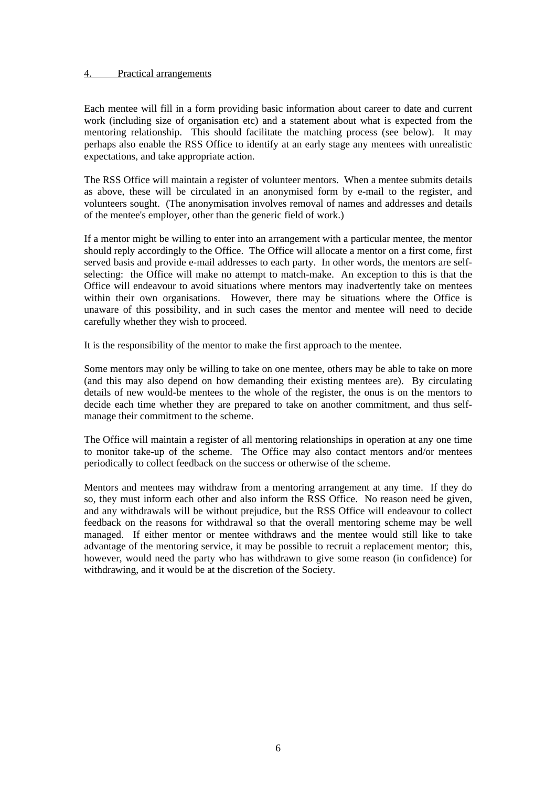#### 4. Practical arrangements

Each mentee will fill in a form providing basic information about career to date and current work (including size of organisation etc) and a statement about what is expected from the mentoring relationship. This should facilitate the matching process (see below). It may perhaps also enable the RSS Office to identify at an early stage any mentees with unrealistic expectations, and take appropriate action.

The RSS Office will maintain a register of volunteer mentors. When a mentee submits details as above, these will be circulated in an anonymised form by e-mail to the register, and volunteers sought. (The anonymisation involves removal of names and addresses and details of the mentee's employer, other than the generic field of work.)

If a mentor might be willing to enter into an arrangement with a particular mentee, the mentor should reply accordingly to the Office. The Office will allocate a mentor on a first come, first served basis and provide e-mail addresses to each party. In other words, the mentors are selfselecting: the Office will make no attempt to match-make. An exception to this is that the Office will endeavour to avoid situations where mentors may inadvertently take on mentees within their own organisations. However, there may be situations where the Office is unaware of this possibility, and in such cases the mentor and mentee will need to decide carefully whether they wish to proceed.

It is the responsibility of the mentor to make the first approach to the mentee.

Some mentors may only be willing to take on one mentee, others may be able to take on more (and this may also depend on how demanding their existing mentees are). By circulating details of new would-be mentees to the whole of the register, the onus is on the mentors to decide each time whether they are prepared to take on another commitment, and thus selfmanage their commitment to the scheme.

The Office will maintain a register of all mentoring relationships in operation at any one time to monitor take-up of the scheme. The Office may also contact mentors and/or mentees periodically to collect feedback on the success or otherwise of the scheme.

Mentors and mentees may withdraw from a mentoring arrangement at any time. If they do so, they must inform each other and also inform the RSS Office. No reason need be given, and any withdrawals will be without prejudice, but the RSS Office will endeavour to collect feedback on the reasons for withdrawal so that the overall mentoring scheme may be well managed. If either mentor or mentee withdraws and the mentee would still like to take advantage of the mentoring service, it may be possible to recruit a replacement mentor; this, however, would need the party who has withdrawn to give some reason (in confidence) for withdrawing, and it would be at the discretion of the Society.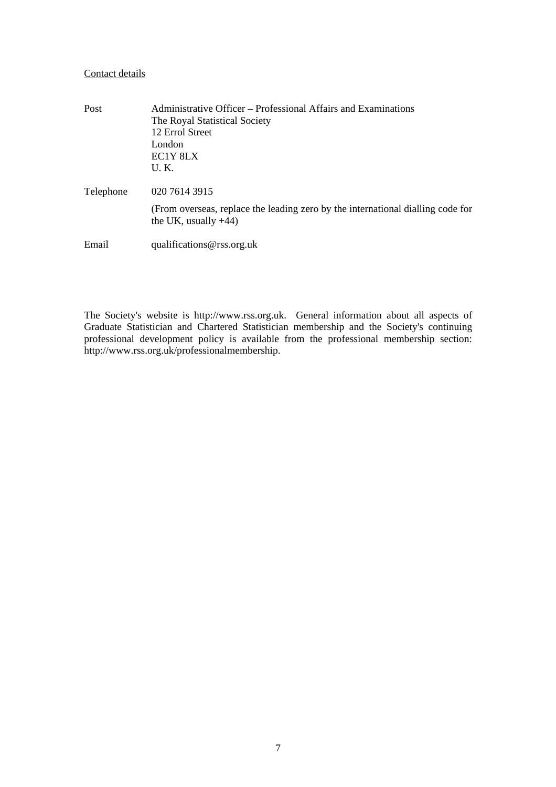#### Contact details

| Post      | Administrative Officer – Professional Affairs and Examinations<br>The Royal Statistical Society<br>12 Errol Street<br>London<br>EC1Y 8LX<br>U.K. |
|-----------|--------------------------------------------------------------------------------------------------------------------------------------------------|
| Telephone | 020 7614 3915                                                                                                                                    |
|           | (From overseas, replace the leading zero by the international dialling code for<br>the UK, usually $+44$ )                                       |
| Email     | qualifications@rss.org.uk                                                                                                                        |

The Society's website is http://www.rss.org.uk. General information about all aspects of Graduate Statistician and Chartered Statistician membership and the Society's continuing professional development policy is available from the professional membership section: http://www.rss.org.uk/professionalmembership.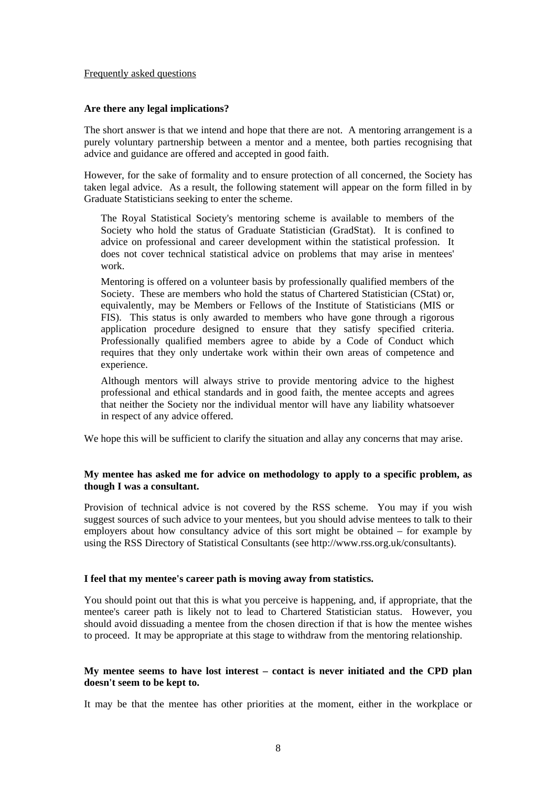#### Frequently asked questions

#### **Are there any legal implications?**

The short answer is that we intend and hope that there are not. A mentoring arrangement is a purely voluntary partnership between a mentor and a mentee, both parties recognising that advice and guidance are offered and accepted in good faith.

However, for the sake of formality and to ensure protection of all concerned, the Society has taken legal advice. As a result, the following statement will appear on the form filled in by Graduate Statisticians seeking to enter the scheme.

The Royal Statistical Society's mentoring scheme is available to members of the Society who hold the status of Graduate Statistician (GradStat). It is confined to advice on professional and career development within the statistical profession. It does not cover technical statistical advice on problems that may arise in mentees' work.

Mentoring is offered on a volunteer basis by professionally qualified members of the Society. These are members who hold the status of Chartered Statistician (CStat) or, equivalently, may be Members or Fellows of the Institute of Statisticians (MIS or FIS). This status is only awarded to members who have gone through a rigorous application procedure designed to ensure that they satisfy specified criteria. Professionally qualified members agree to abide by a Code of Conduct which requires that they only undertake work within their own areas of competence and experience.

Although mentors will always strive to provide mentoring advice to the highest professional and ethical standards and in good faith, the mentee accepts and agrees that neither the Society nor the individual mentor will have any liability whatsoever in respect of any advice offered.

We hope this will be sufficient to clarify the situation and allay any concerns that may arise.

#### **My mentee has asked me for advice on methodology to apply to a specific problem, as though I was a consultant.**

Provision of technical advice is not covered by the RSS scheme. You may if you wish suggest sources of such advice to your mentees, but you should advise mentees to talk to their employers about how consultancy advice of this sort might be obtained – for example by using the RSS Directory of Statistical Consultants (see http://www.rss.org.uk/consultants).

#### **I feel that my mentee's career path is moving away from statistics.**

You should point out that this is what you perceive is happening, and, if appropriate, that the mentee's career path is likely not to lead to Chartered Statistician status. However, you should avoid dissuading a mentee from the chosen direction if that is how the mentee wishes to proceed. It may be appropriate at this stage to withdraw from the mentoring relationship.

### **My mentee seems to have lost interest – contact is never initiated and the CPD plan doesn't seem to be kept to.**

It may be that the mentee has other priorities at the moment, either in the workplace or